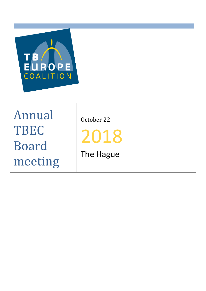

Annual TBEC Board meeting

October 22

201 8

The Hague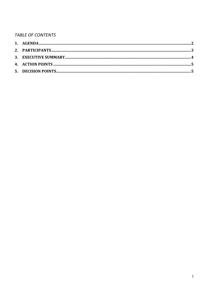# **TABLE OF CONTENTS**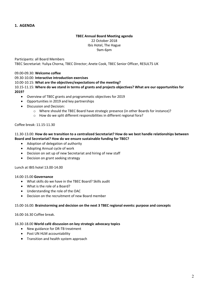#### **TBEC Annual Board Meeting agenda**

22 October 2018 Ibis Hotel, The Hague 9am-6pm

Participants: all Board Members TBEC Secretariat: Yuliya Chorna, TBEC Director; Anete Cook, TBEC Senior Officer, RESULTS UK

# 09.00-09.30: **Welcome coffee**

09.30-10.00: **Interactive introduction exercises** 

10.00-10.15: **What are the objectives/expectations of the meeting?** 

10.15-11.15: **Where do we stand in terms of grants and projects objectives? What are our opportunities for 2019?** 

- Overview of TBEC grants and programmatic objectives for 2019
- Opportunities in 2019 and key partnerships
- Discussion and Decision:
	- o Where should the TBEC Board have strategic presence (in other Boards for instance)?
	- o How do we split different responsibilities in different regional fora?

#### Coffee break: 11.15-11.30

#### 11.30-13.00: **How do we transition to a centralized Secretariat? How do we best handle relationships between Board and Secretariat? How do we ensure sustainable funding for TBEC?**

- Adoption of delegation of authority
- Adopting Annual cycle of work
- Decision on set up of new Secretariat and hiring of new staff
- Decision on grant seeking strategy

Lunch at IBIS hotel 13.00-14.00

#### 14.00-15.00 **Governance**

- What skills do we have in the TBEC Board? Skills audit
- What is the role of a Board?
- Understanding the role of the OAC
- Decision on the recruitment of new Board member

#### 15.00-16.00: **Brainstorming and decision on the next 3 TBEC regional events: purpose and concepts**

16.00-16.30 Coffee break.

#### 16.30-18.00 **World café discussion on key strategic advocacy topics**

- New guidance for DR-TB treatment
- Post UN HLM accountability
- Transition and health system approach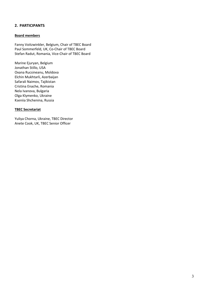# **2. PARTICIPANTS**

# **Board members**

Fanny Voitzwinkler, Belgium, Chair of TBEC Board Paul Sommerfeld, UK, Co-Chair of TBEC Board Stefan Radut, Romania, Vice-Chair of TBEC Board

Marine Ejuryan, Belgium Jonathan Stillo, USA Oxana Rucsineanu, Moldova Elchin Mukhtarli, Azerbaijan Safarali Naimov, Tajikistan Cristina Enache, Romania Nela Ivanova, Bulgaria Olga Klymenko, Ukraine Kseniia Shchenina, Russia

# **TBEC Secretariat**

Yuliya Chorna, Ukraine, TBEC Director Anete Cook, UK, TBEC Senior Officer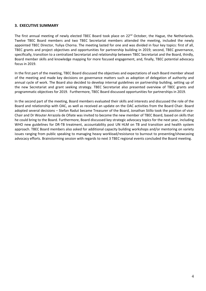# **3. EXECUTIVE SUMMARY**

The first annual meeting of newly elected TBEC Board took place on 22<sup>nd</sup> October, the Hague, the Netherlands. Twelve TBEC Board members and two TBEC Secretariat members attended the meeting, included the newly appointed TBEC Director, Yuliya Chorna. The meeting lasted for one and was divided in four key topics: first of all, TBEC grants and project objectives and opportunities for partnership building in 2019; second, TBEC governance, specifically, transition to a centralized Secretariat and relationship between TBEC Secretariat and the Board, thirdly, Board member skills and knowledge mapping for more focused engagement, and, finally, TBEC potential advocacy focus in 2019.

In the first part of the meeting, TBEC Board discussed the objectives and expectations of each Board member ahead of the meeting and made key decisions on governance matters such as adoption of delegation of authority and annual cycle of work. The Board also decided to develop internal guidelines on partnership building, setting up of the new Secretariat and grant seeking strategy. TBEC Secretariat also presented overview of TBEC grants and programmatic objectives for 2019. Furthermore, TBEC Board discussed opportunities for partnerships in 2019.

In the second part of the meeting, Board members evaluated their skills and interests and discussed the role of the Board and relationship with OAC, as well as received an update on the OAC activities from the Board Chair. Board adopted several decisions – Stefan Radut became Treasurer of the Board, Jonathan Stillo took the position of vice-Chair and Dr Wouter Arrazola de Oñate was invited to become the new member of TBEC Board, based on skills that he could bring to the Board. Furthermore, Board discussed key strategic advocacy topics for the next year, including WHO new guidelines for DR-TB treatment, accountability post UN HLM on TB and transition and health system approach. TBEC Board members also asked for additional capacity building workshops and/or mentoring on variety issues ranging from public speaking to managing heavy workload/resistance to burnout to presenting/showcasing advocacy efforts. Brainstorming session with regards to next 3 TBEC regional events concluded the Board meeting.